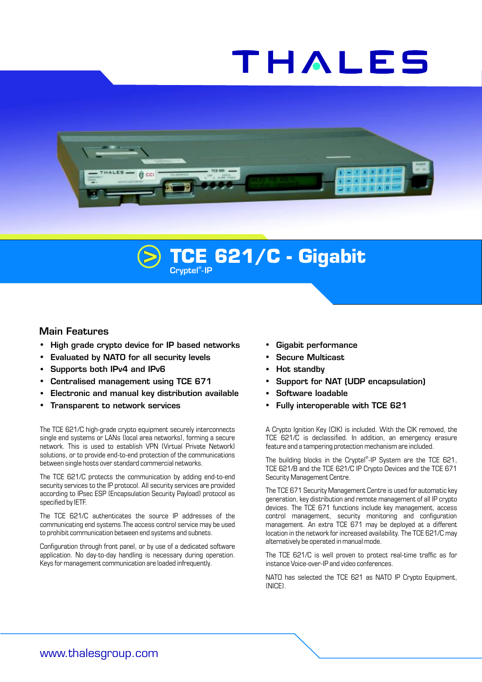# THALES



# **> TCE 621/C - Gigabit**

## Main Features

- High grade crypto device for IP based networks • Gigabit performance
- Evaluated by NATO for all security levels **1998** Secure Multicast
- Supports both IPv4 and IPv6 **... According to the Supports both IPv4** and IPv6
- **Centralised management using TCE 671 Support for NAT (UDP encapsulation)**
- Electronic and manual key distribution available **·** Software loadable
- 

single end systems or LANs (local area networks), forming a secure TCE 621/C is declassified. In addition, an emergency erasure network. This is used to establish VPN (Virtual Private Network) feature and a tampering protection mechanism are included. solutions, or to provide end-to-end protection of the communications between single hosts over standard commercial networks.

The TCE 621/C protects the communication by adding end-to-end Security Management Centre. security services to the IP protocol. All security services are provided The TCE 671 Security Management Centre is used for automatic key according to IPsec ESP (Encapsulation Security Payload) protocol as generation, key distribution and remote management of all IP crypto specified by IETF.

communicating end systems.The access control service may be used management. An extra TCE 671 may be deployed at a different to prohibit communication between end systems and subnets. location in the network for increased availability. The TCE 621/C may

Configuration through front panel, or by use of a dedicated software<br>Application and averto-day handling is necessary during operation. The TCF 621/C is well proven to protect real-time traffic as for application. No day-to-day handling is necessary during operation. The TCE 621/C is well proven to protect re<br>Keys for management communication are loaded infrequently. The traffic assume Voice-over-IP and video conference Keys for management communication are loaded infrequently.

- 
- 
- 
- 
- 
- **Transparent to network services 120 CML ASSET ASSETS ASSET ASSETS A FULLY INTEGRATE CONSUMING A FULLY STANDARY**

The TCE 621/C high-grade crypto equipment securely interconnects A Crypto Ignition Key (CIK) is included. With the CIK removed, the

The building blocks in the Cryptel®-IP System are the TCE 621, TCE 621/B and the TCE 621/C IP Crypto Devices and the TCE 671

devices. The TCE 671 functions include key management, access The TCE 621/C authenticates the source IP addresses of the control management, security monitoring and configuration

NATO has selected the TCE 621 as NATO IP Crypto Equipment, (NICE).